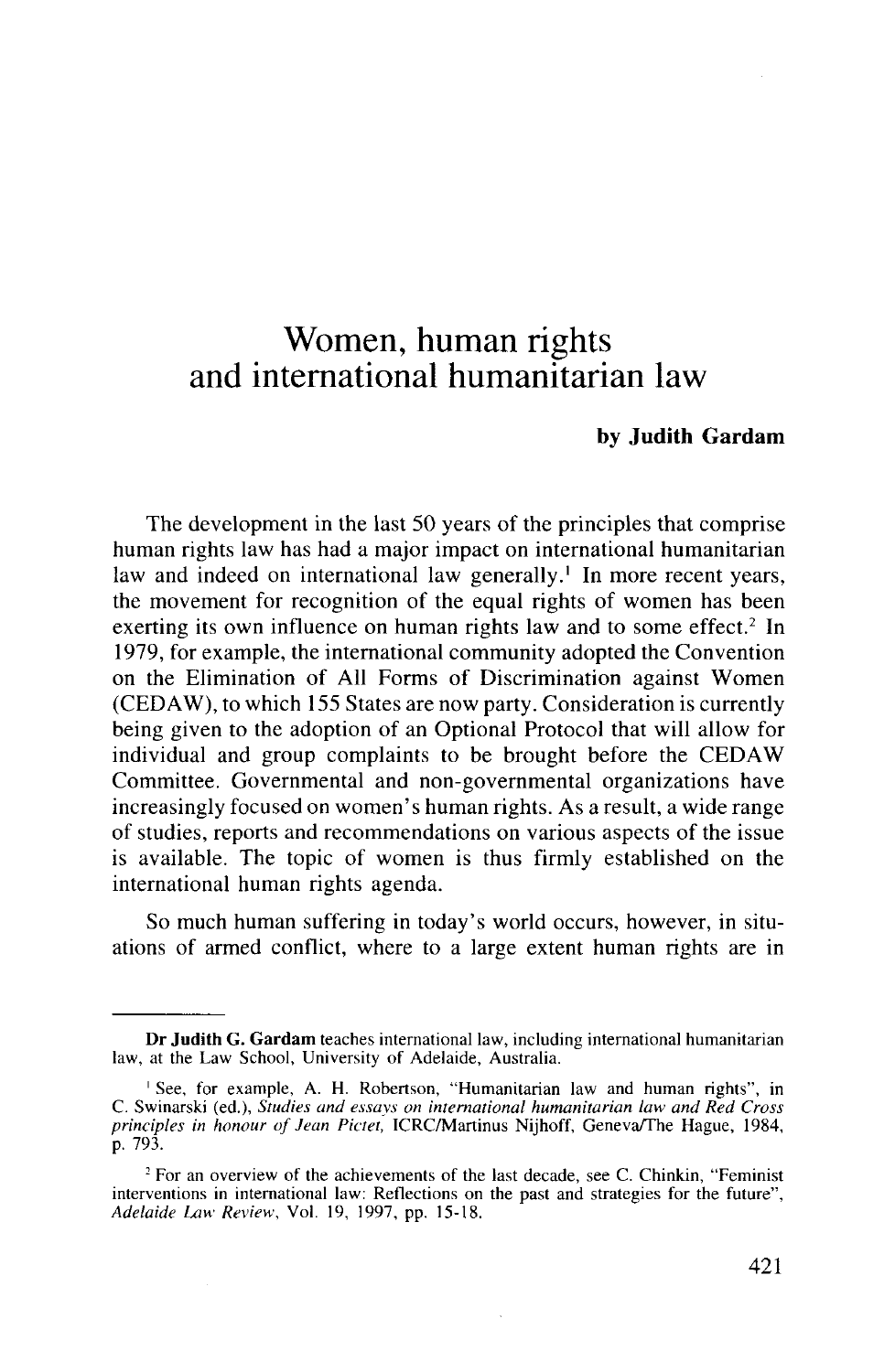# Women, human rights and international humanitarian law

#### **by Judith Gardam**

The development in the last 50 years of the principles that comprise human rights law has had a major impact on international humanitarian law and indeed on international law generally.<sup>1</sup> In more recent years, the movement for recognition of the equal rights of women has been exerting its own influence on human rights law and to some effect.<sup>2</sup> In 1979, for example, the international community adopted the Convention on the Elimination of All Forms of Discrimination against Women (CEDAW), to which 155 States are now party. Consideration is currently being given to the adoption of an Optional Protocol that will allow for individual and group complaints to be brought before the CEDAW Committee. Governmental and non-governmental organizations have increasingly focused on women's human rights. As a result, a wide range of studies, reports and recommendations on various aspects of the issue is available. The topic of women is thus firmly established on the international human rights agenda.

So much human suffering in today's world occurs, however, in situations of armed conflict, where to a large extent human rights are in

**Dr Judith G. Gardam** teaches international law, including international humanitarian law, at the Law School, University of Adelaide, Australia.

<sup>1</sup> See, for example, A. H. Robertson, "Humanitarian law and human rights", in C. Swinarski (ed.), *Studies and essays on international humanitarian law and Red Cross principles in honour of Jean Pictet,* ICRC/Martinus Nijhoff, Geneva/The Hague, 1984, p. 793.

<sup>&</sup>lt;sup>2</sup> For an overview of the achievements of the last decade, see C. Chinkin, "Feminist interventions in international law: Reflections on the past and strategies for the future", *Adelaide Law Review,* Vol. 19, 1997, pp. 15-18.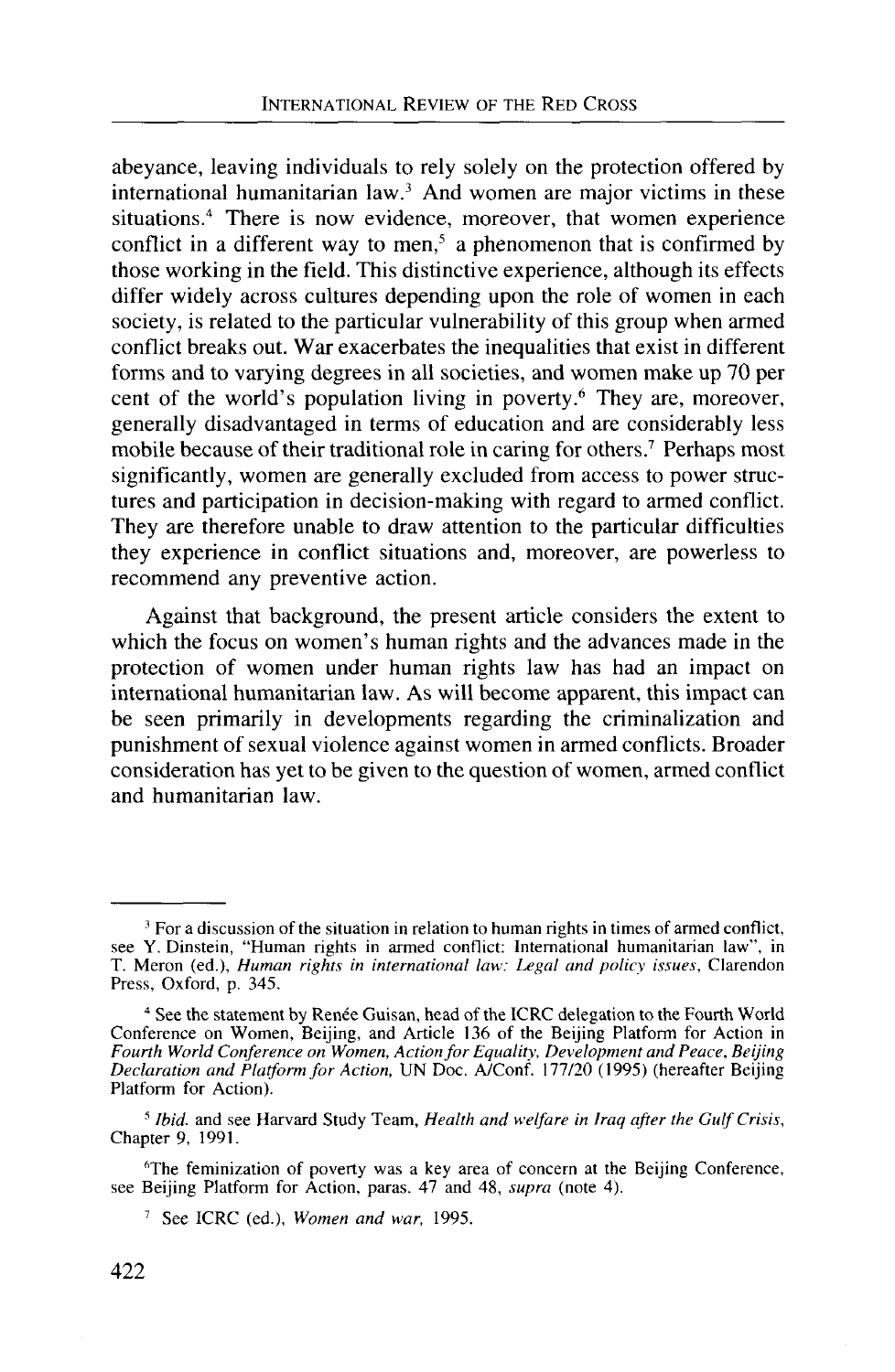abeyance, leaving individuals to rely solely on the protection offered by international humanitarian law.<sup>3</sup> And women are major victims in these situations.<sup>4</sup> There is now evidence, moreover, that women experience conflict in a different way to men,<sup>5</sup> a phenomenon that is confirmed by those working in the field. This distinctive experience, although its effects differ widely across cultures depending upon the role of women in each society, is related to the particular vulnerability of this group when armed conflict breaks out. War exacerbates the inequalities that exist in different forms and to varying degrees in all societies, and women make up 70 per cent of the world's population living in poverty.<sup>6</sup> They are, moreover, generally disadvantaged in terms of education and are considerably less mobile because of their traditional role in caring for others.<sup>7</sup> Perhaps most significantly, women are generally excluded from access to power structures and participation in decision-making with regard to armed conflict. They are therefore unable to draw attention to the particular difficulties they experience in conflict situations and, moreover, are powerless to recommend any preventive action.

Against that background, the present article considers the extent to which the focus on women's human rights and the advances made in the protection of women under human rights law has had an impact on international humanitarian law. As will become apparent, this impact can be seen primarily in developments regarding the criminalization and punishment of sexual violence against women in armed conflicts. Broader consideration has yet to be given to the question of women, armed conflict and humanitarian law.

<sup>&</sup>lt;sup>3</sup> For a discussion of the situation in relation to human rights in times of armed conflict, see Y. Dinstein, "Human rights in armed conflict: International humanitarian law", in T. Meron (ed.), *Human rights in international law: Legal and policy issues,* Clarendon Press, Oxford, p. 345.

<sup>&</sup>lt;sup>4</sup> See the statement by Renée Guisan, head of the ICRC delegation to the Fourth World Conference on Women, Beijing, and Article 136 of the Beijing Platform for Action in *Fourth World Conference on Women, Action for Equality, Development and Peace, Beijing Declaration and Platform for Action,* UN Doc. A/Conf. 177/20 (1995) (hereafter Beijing Platform for Action).

<sup>5</sup>  *Ibid,* and see Harvard Study Team, *Health and welfare in Iraq after the Gulf Crisis,* Chapter 9, 1991.

<sup>&#</sup>x27;The feminization of poverty was a key area of concern at the Beijing Conference, see Beijing Platform for Action, paras. 47 and 48, *supra* (note 4).

<sup>&</sup>lt;sup>7</sup> See ICRC (ed.), Women and war, 1995. See ICRC (ed.), *Women and war,* 1995.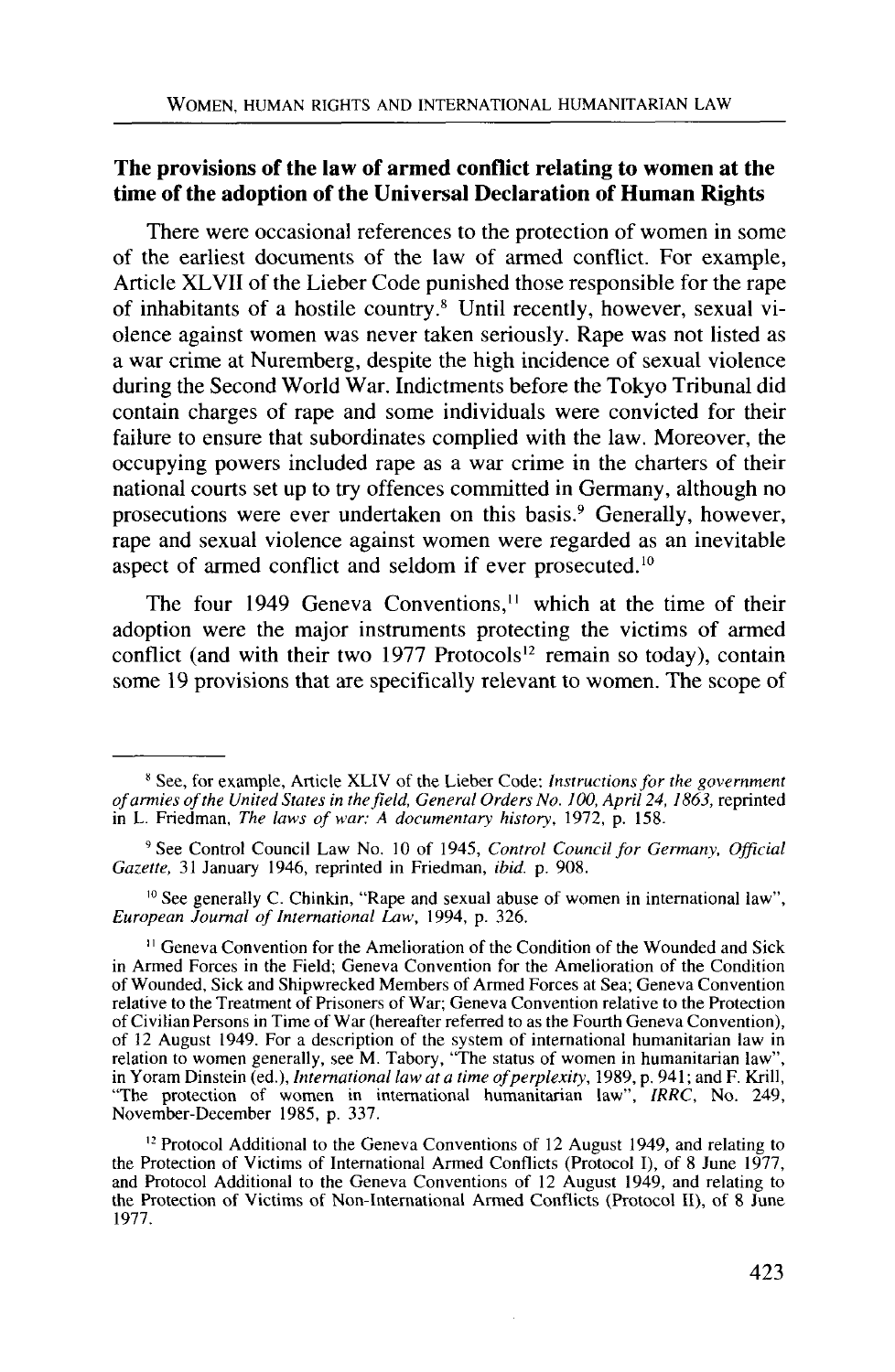### **The provisions of the law of armed conflict relating to women at the time of the adoption of the Universal Declaration of Human Rights**

There were occasional references to the protection of women in some of the earliest documents of the law of armed conflict. For example, Article XLVII of the Lieber Code punished those responsible for the rape of inhabitants of a hostile country.<sup>8</sup> Until recently, however, sexual violence against women was never taken seriously. Rape was not listed as a war crime at Nuremberg, despite the high incidence of sexual violence during the Second World War. Indictments before the Tokyo Tribunal did contain charges of rape and some individuals were convicted for their failure to ensure that subordinates complied with the law. Moreover, the occupying powers included rape as a war crime in the charters of their national courts set up to try offences committed in Germany, although no prosecutions were ever undertaken on this basis.<sup>9</sup> Generally, however, rape and sexual violence against women were regarded as an inevitable aspect of armed conflict and seldom if ever prosecuted.<sup>10</sup>

The four 1949 Geneva Conventions,<sup>11</sup> which at the time of their adoption were the major instruments protecting the victims of armed conflict (and with their two 1977 Protocols<sup>12</sup> remain so today), contain some 19 provisions that are specifically relevant to women. The scope of

<sup>8</sup> See, for example, Article XLIV of the Lieber Code: *Instructions for the government of armies of the United States in the field, General Orders No. 100, April 24, 1863,* reprinted in L. Friedman, *The laws of war: A documentary history,* 1972, p. 158.

<sup>9</sup> See Control Council Law No. 10 of 1945, *Control Council for Germany, Official Gazette,* 31 January 1946, reprinted in Friedman, *ibid.* p. 908.

<sup>&</sup>lt;sup>10</sup> See generally C. Chinkin, "Rape and sexual abuse of women in international law", *European Journal of International Law,* 1994, p. 326.

<sup>&</sup>lt;sup>11</sup> Geneva Convention for the Amelioration of the Condition of the Wounded and Sick in Armed Forces in the Field; Geneva Convention for the Amelioration of the Condition of Wounded, Sick and Shipwrecked Members of Armed Forces at Sea; Geneva Convention relative to the Treatment of Prisoners of War; Geneva Convention relative to the Protection of Civilian Persons in Time of War (hereafter referred to as the Fourth Geneva Convention), of 12 August 1949. For a description of the system of international humanitarian law in relation to women generally, see M. Tabory, "The status of women in humanitarian law", in Yoram Dinstein (ed.), *International law at a time of perplexity,* 1989, p. 941; andF. Krill, "The protection of women in international humanitarian law", *IRRC,* No. 249, November-December 1985, p. 337.

 $12$  Protocol Additional to the Geneva Conventions of 12 August 1949, and relating to the Protection of Victims of International Armed Conflicts (Protocol I), of 8 June 1977, and Protocol Additional to the Geneva Conventions of 12 August 1949, and relating to the Protection of Victims of Non-International Armed Conflicts (Protocol II), of 8 June 1977.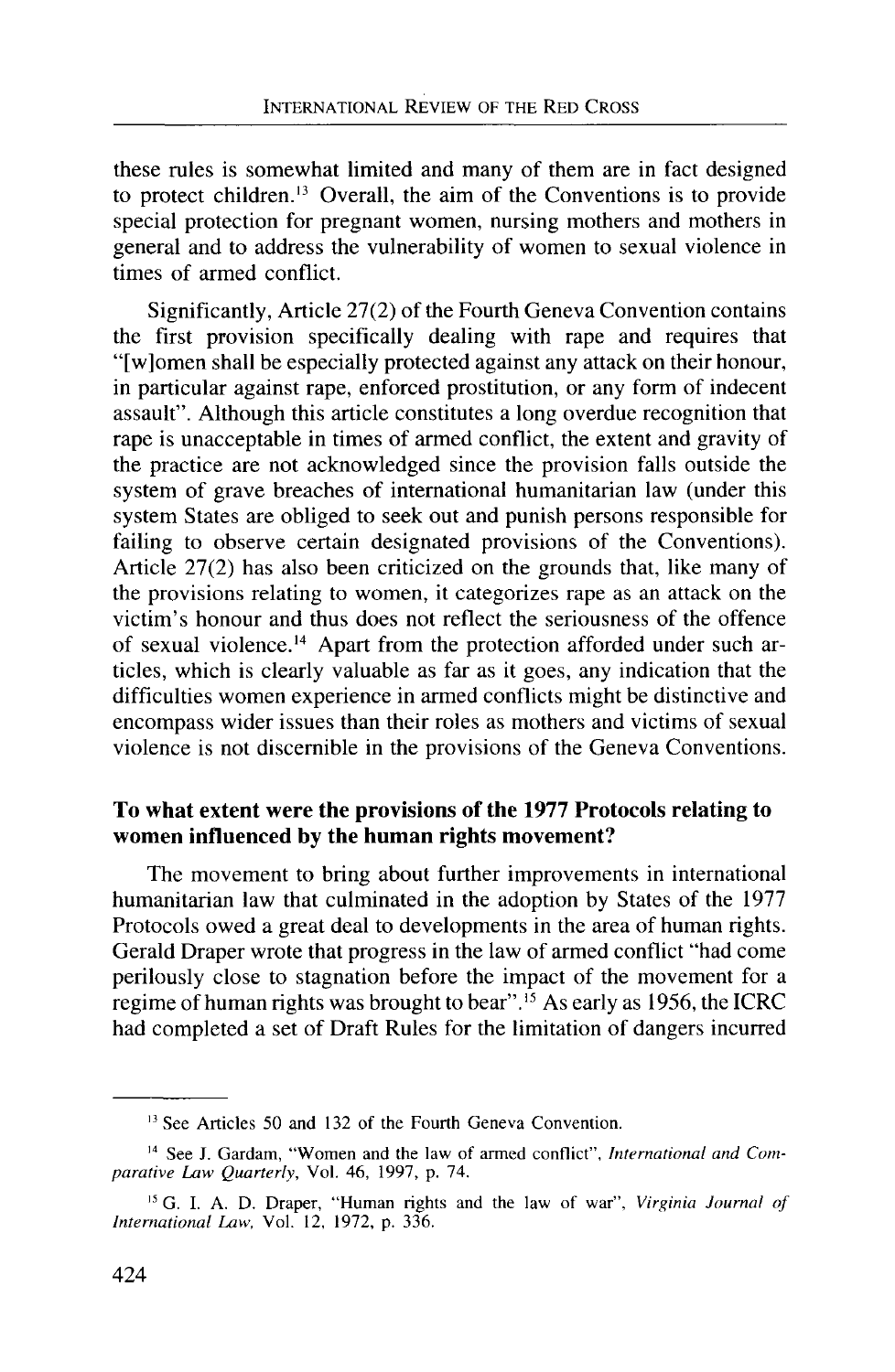these rules is somewhat limited and many of them are in fact designed to protect children.<sup>13</sup> Overall, the aim of the Conventions is to provide special protection for pregnant women, nursing mothers and mothers in general and to address the vulnerability of women to sexual violence in times of armed conflict.

Significantly, Article 27(2) of the Fourth Geneva Convention contains the first provision specifically dealing with rape and requires that "[w]omen shall be especially protected against any attack on their honour, in particular against rape, enforced prostitution, or any form of indecent assault". Although this article constitutes a long overdue recognition that rape is unacceptable in times of armed conflict, the extent and gravity of the practice are not acknowledged since the provision falls outside the system of grave breaches of international humanitarian law (under this system States are obliged to seek out and punish persons responsible for failing to observe certain designated provisions of the Conventions). Article 27(2) has also been criticized on the grounds that, like many of the provisions relating to women, it categorizes rape as an attack on the victim's honour and thus does not reflect the seriousness of the offence of sexual violence.<sup>14</sup> Apart from the protection afforded under such articles, which is clearly valuable as far as it goes, any indication that the difficulties women experience in armed conflicts might be distinctive and encompass wider issues than their roles as mothers and victims of sexual violence is not discernible in the provisions of the Geneva Conventions.

# **To what extent were the provisions of the 1977 Protocols relating to women influenced by the human rights movement?**

The movement to bring about further improvements in international humanitarian law that culminated in the adoption by States of the 1977 Protocols owed a great deal to developments in the area of human rights. Gerald Draper wrote that progress in the law of armed conflict "had come perilously close to stagnation before the impact of the movement for a regime of human rights was brought to bear".<sup>15</sup> As early as 1956, the ICRC had completed a set of Draft Rules for the limitation of dangers incurred

<sup>&</sup>lt;sup>13</sup> See Articles 50 and 132 of the Fourth Geneva Convention.

<sup>14</sup> See J. Gardam, "Women and the law of armed conflict", *Internationa! and Comparative Law Quarterly,* Vol. 46, 1997, p. 74.

<sup>15</sup> G. I. A. D. Draper, "Human rights and the law of war", *Virginia Journal of International Law,* Vol. 12, 1972, p. 336.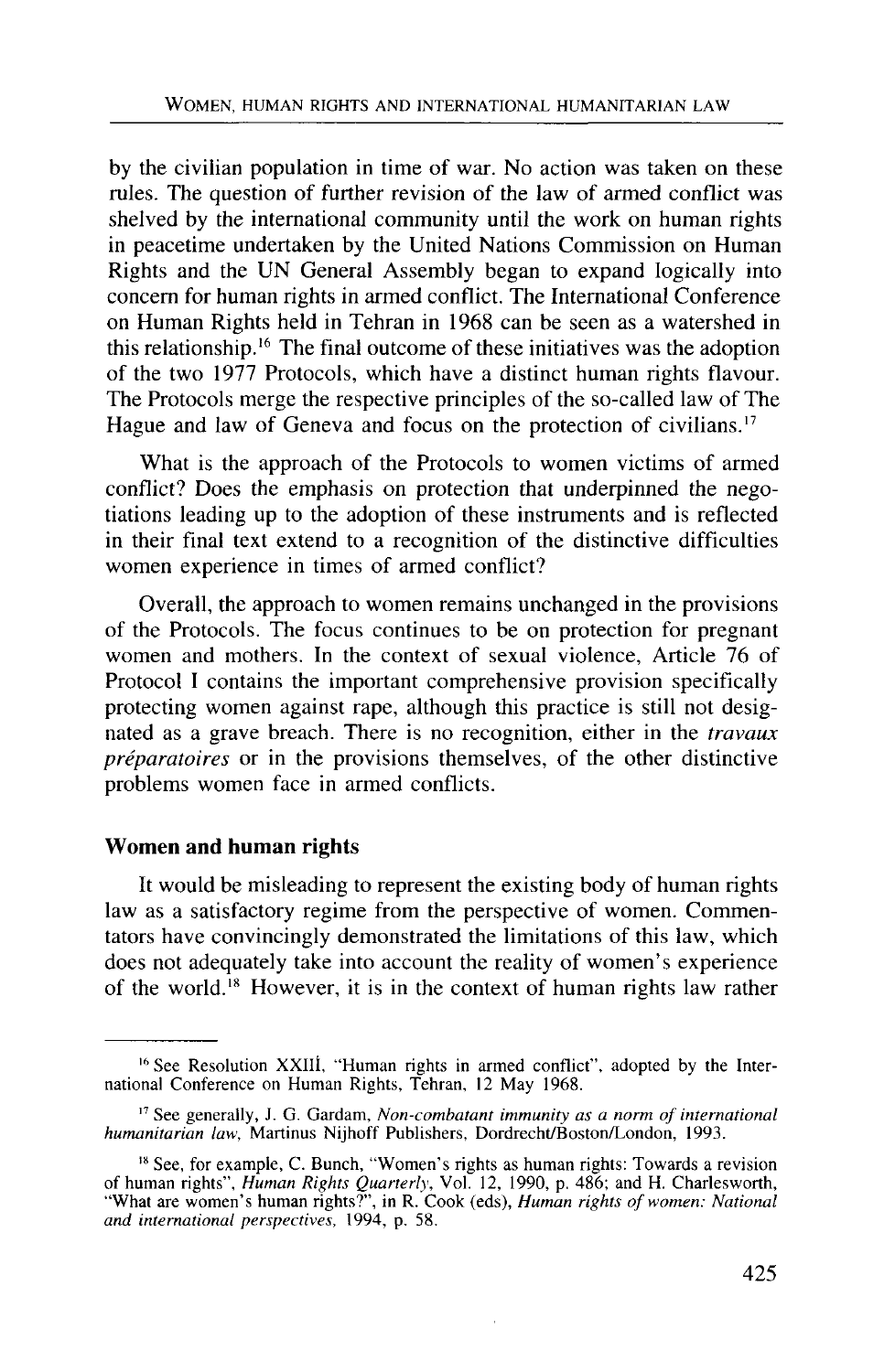by the civilian population in time of war. No action was taken on these rules. The question of further revision of the law of armed conflict was shelved by the international community until the work on human rights in peacetime undertaken by the United Nations Commission on Human Rights and the UN General Assembly began to expand logically into concern for human rights in armed conflict. The International Conference on Human Rights held in Tehran in 1968 can be seen as a watershed in this relationship.<sup>16</sup> The final outcome of these initiatives was the adoption of the two 1977 Protocols, which have a distinct human rights flavour. The Protocols merge the respective principles of the so-called law of The Hague and law of Geneva and focus on the protection of civilians.<sup>17</sup>

What is the approach of the Protocols to women victims of armed conflict? Does the emphasis on protection that underpinned the negotiations leading up to the adoption of these instruments and is reflected in their final text extend to a recognition of the distinctive difficulties women experience in times of armed conflict?

Overall, the approach to women remains unchanged in the provisions of the Protocols. The focus continues to be on protection for pregnant women and mothers. In the context of sexual violence, Article 76 of Protocol I contains the important comprehensive provision specifically protecting women against rape, although this practice is still not designated as a grave breach. There is no recognition, either in the *travaux preparatoires* or in the provisions themselves, of the other distinctive problems women face in armed conflicts.

#### **Women and human rights**

It would be misleading to represent the existing body of human rights law as a satisfactory regime from the perspective of women. Commentators have convincingly demonstrated the limitations of this law, which does not adequately take into account the reality of women's experience of the world.<sup>18</sup> However, it is in the context of human rights law rather

<sup>16</sup> See Resolution XXIII, "Human rights in armed conflict", adopted by the International Conference on Human Rights, Tehran, 12 May 1968.

<sup>17</sup> See generally, J. G. Gardam, *Non-combatant immunity as a norm of international humanitarian law,* Martinus Nijhoff Publishers, Dordrecht/Boston/London, 1993.

<sup>&</sup>lt;sup>18</sup> See, for example, C. Bunch, "Women's rights as human rights: Towards a revision of human rights", *Human Rights Quarterly,* Vol. 12, 1990, p. 486; and H. Charlesworth, "What are women's human rights?", in R. Cook (eds), *Human rights of women: National and international perspectives,* 1994, p. 58.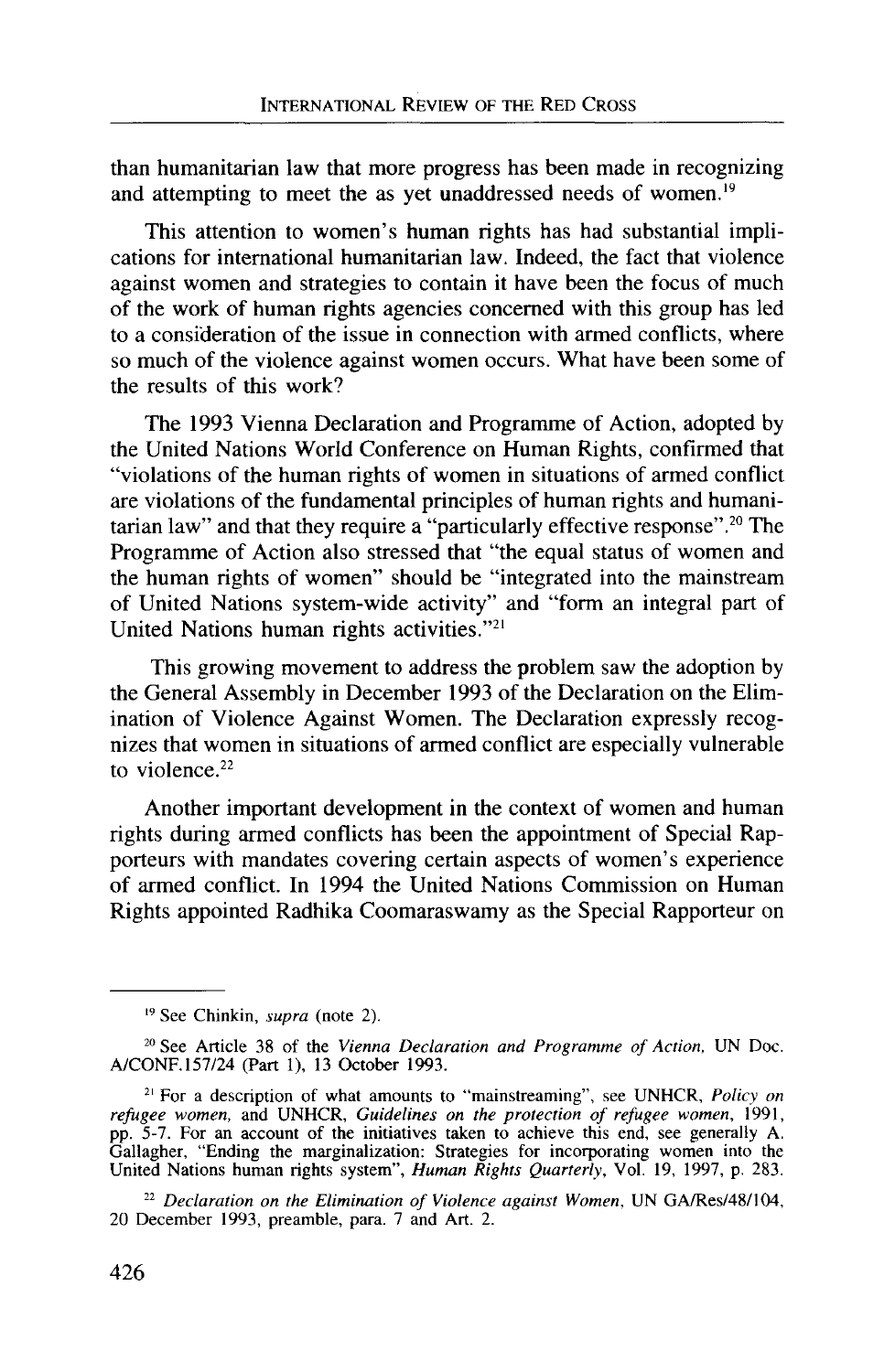than humanitarian law that more progress has been made in recognizing and attempting to meet the as yet unaddressed needs of women.<sup>19</sup>

This attention to women's human rights has had substantial implications for international humanitarian law. Indeed, the fact that violence against women and strategies to contain it have been the focus of much of the work of human rights agencies concerned with this group has led to a consideration of the issue in connection with armed conflicts, where so much of the violence against women occurs. What have been some of the results of this work?

The 1993 Vienna Declaration and Programme of Action, adopted by the United Nations World Conference on Human Rights, confirmed that "violations of the human rights of women in situations of armed conflict are violations of the fundamental principles of human rights and humanitarian law" and that they require a "particularly effective response".<sup>20</sup> The Programme of Action also stressed that "the equal status of women and the human rights of women" should be "integrated into the mainstream of United Nations system-wide activity" and "form an integral part of United Nations human rights activities."21

This growing movement to address the problem saw the adoption by the General Assembly in December 1993 of the Declaration on the Elimination of Violence Against Women. The Declaration expressly recognizes that women in situations of armed conflict are especially vulnerable to violence.<sup>22</sup>

Another important development in the context of women and human rights during armed conflicts has been the appointment of Special Rapporteurs with mandates covering certain aspects of women's experience of armed conflict. In 1994 the United Nations Commission on Human Rights appointed Radhika Coomaraswamy as the Special Rapporteur on

<sup>19</sup> See Chinkin, *supra* (note 2).

<sup>20</sup> See Article 38 of the *Vienna Declaration and Programme of Action,* UN Doc. A/CONF. 157/24 (Part 1), 13 October 1993.

<sup>21</sup> For a description of what amounts to "mainstreaming", see UNHCR, *Policy on refugee women,* and UNHCR, *Guidelines on the protection of refugee women,* 1991, pp. 5-7. For an account of the initiatives taken to achieve this end, see generally A. Gallagher, "Ending the marginalization: Strategies for incorporating women into the United Nations human rights system", *Human Rights Quarterly,* Vol. 19, 1997, p. 283.

<sup>22</sup>  *Declaration on the Elimination of Violence against Women,* UN GA/Res/48/104, 20 December 1993, preamble, para. 7 and Art. 2.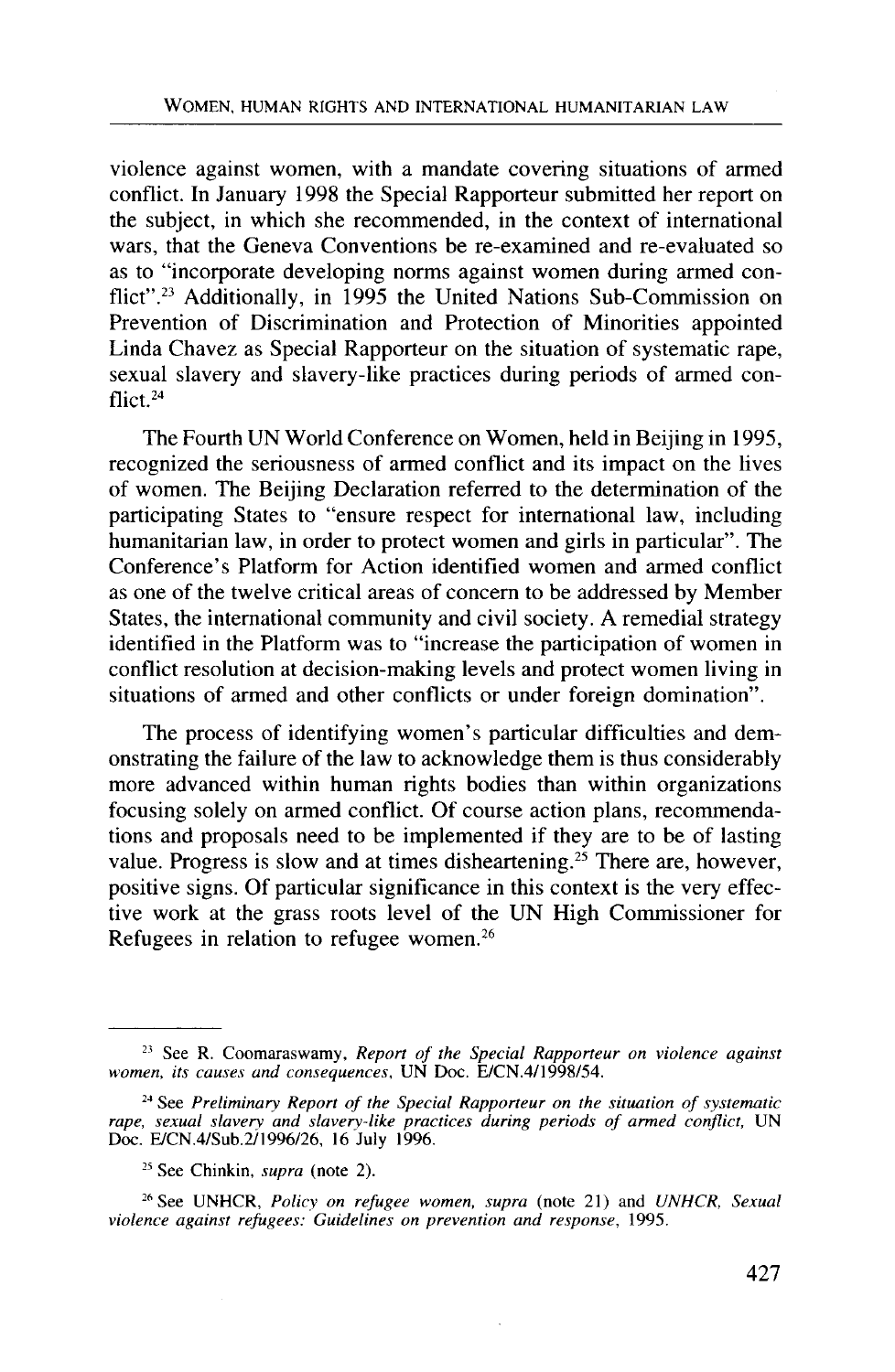violence against women, with a mandate covering situations of armed conflict. In January 1998 the Special Rapporteur submitted her report on the subject, in which she recommended, in the context of international wars, that the Geneva Conventions be re-examined and re-evaluated so as to "incorporate developing norms against women during armed conflict".<sup>23</sup> Additionally, in 1995 the United Nations Sub-Commission on Prevention of Discrimination and Protection of Minorities appointed Linda Chavez as Special Rapporteur on the situation of systematic rape, sexual slavery and slavery-like practices during periods of armed conflict.<sup>24</sup>

The Fourth UN World Conference on Women, held in Beijing in 1995, recognized the seriousness of armed conflict and its impact on the lives of women. The Beijing Declaration referred to the determination of the participating States to "ensure respect for international law, including humanitarian law, in order to protect women and girls in particular". The Conference's Platform for Action identified women and armed conflict as one of the twelve critical areas of concern to be addressed by Member States, the international community and civil society. A remedial strategy identified in the Platform was to "increase the participation of women in conflict resolution at decision-making levels and protect women living in situations of armed and other conflicts or under foreign domination".

The process of identifying women's particular difficulties and demonstrating the failure of the law to acknowledge them is thus considerably more advanced within human rights bodies than within organizations focusing solely on armed conflict. Of course action plans, recommendations and proposals need to be implemented if they are to be of lasting value. Progress is slow and at times disheartening.<sup>25</sup> There are, however, positive signs. Of particular significance in this context is the very effective work at the grass roots level of the UN High Commissioner for Refugees in relation to refugee women.<sup>26</sup>

<sup>23</sup> See R. Coomaraswamy, *Report of the Special Rapporteur on violence against women, its causes and consequences,* UN Doc. E/CN.4/1998/54.

<sup>24</sup> See *Preliminary Report of the Special Rapporteur on the situation of systematic rape, sexual slavery and slavery-like practices during periods of armed conflict,* UN Doc. E/CN.4/Sub.2/1996/26, 16 July 1996.

<sup>25</sup> See Chinkin, *supra* (note 2).

<sup>26</sup> See UNHCR, *Policy on refugee women, supra* (note 21) and *UNHCR, Sexual violence against refugees: Guidelines on prevention and response,* 1995.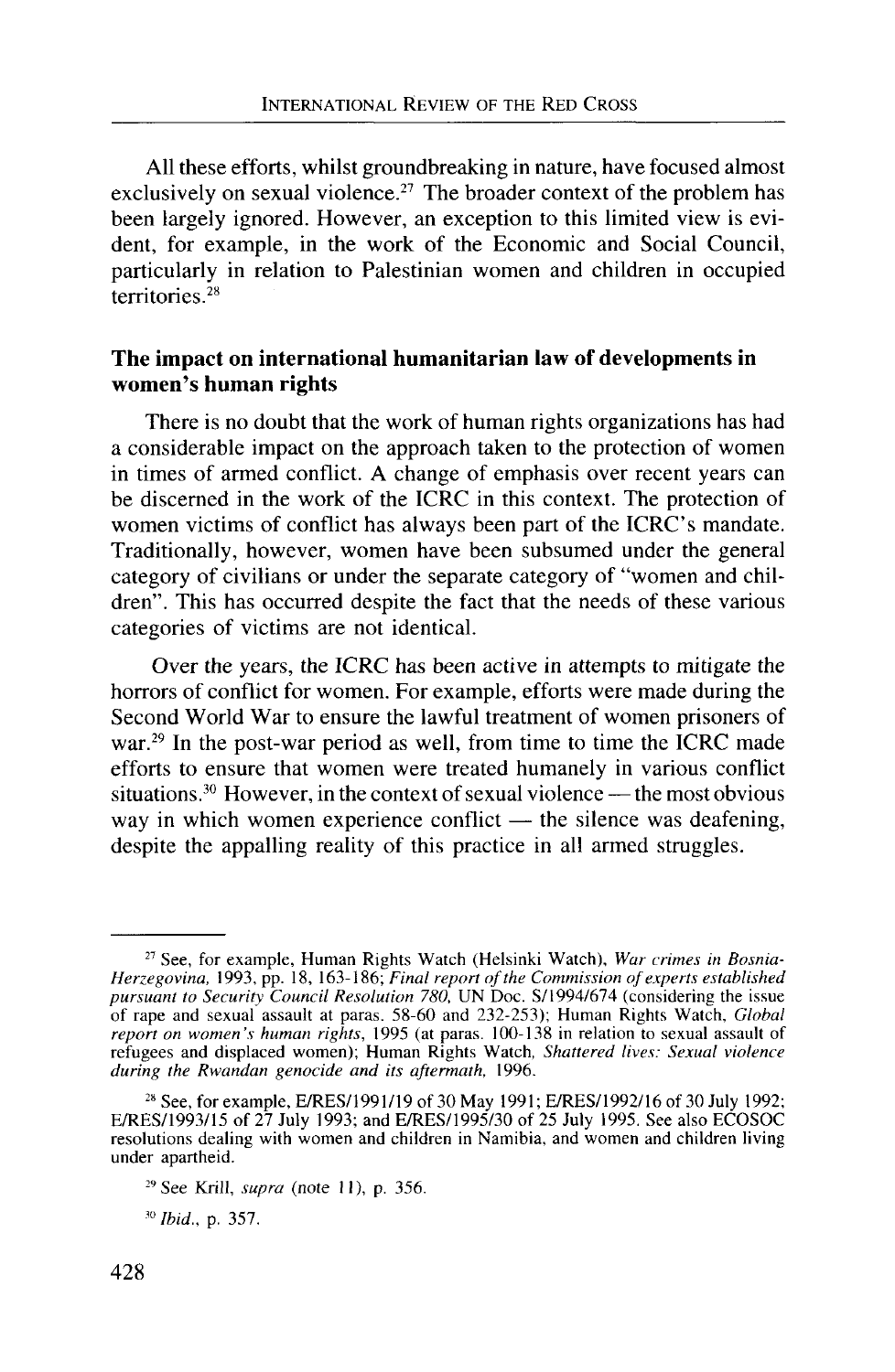All these efforts, whilst groundbreaking in nature, have focused almost exclusively on sexual violence.<sup>27</sup> The broader context of the problem has been largely ignored. However, an exception to this limited view is evident, for example, in the work of the Economic and Social Council, particularly in relation to Palestinian women and children in occupied territories.<sup>28</sup>

## **The impact on international humanitarian law of developments in women's human rights**

There is no doubt that the work of human rights organizations has had a considerable impact on the approach taken to the protection of women in times of armed conflict. A change of emphasis over recent years can be discerned in the work of the ICRC in this context. The protection of women victims of conflict has always been part of the ICRC's mandate. Traditionally, however, women have been subsumed under the general category of civilians or under the separate category of "women and children". This has occurred despite the fact that the needs of these various categories of victims are not identical.

Over the years, the ICRC has been active in attempts to mitigate the horrors of conflict for women. For example, efforts were made during the Second World War to ensure the lawful treatment of women prisoners of war.<sup>29</sup> In the post-war period as well, from time to time the ICRC made efforts to ensure that women were treated humanely in various conflict situations.<sup>30</sup> However, in the context of sexual violence — the most obvious way in which women experience conflict — the silence was deafening, despite the appalling reality of this practice in all armed struggles.

30  *Ibid.,* p. 357.

<sup>27</sup> See, for example, Human Rights Watch (Helsinki Watch), *War crimes in Bosnia-Herzegovina,* 1993, pp. 18, 163-186; *Final report of the Commission of experts established pursuant to Security Council Resolution 780,* UN Doc. S/1994/674 (considering the issue of rape and sexual assault at paras. 58-60 and 232-253); Human Rights Watch, *Global report on women's human rights,* 1995 (at paras. 100-138 in relation to sexual assault of refugees and displaced women); Human Rights Watch, *Shattered lives: Sexual violence during the Rwandan genocide and its aftermath,* 1996.

<sup>28</sup> See, for example, E/RES/1991/19 of 30 May 1991; E/RES/1992/16 of 30 July 1992; E/RES/1993/15 of 27 July 1993; and E/RES/1995/30 of 25 July 1995. See also ECOSOC resolutions dealing with women and children in Namibia, and women and children living under apartheid.

<sup>29</sup> See Krill, *supra* (note 11), p. 356.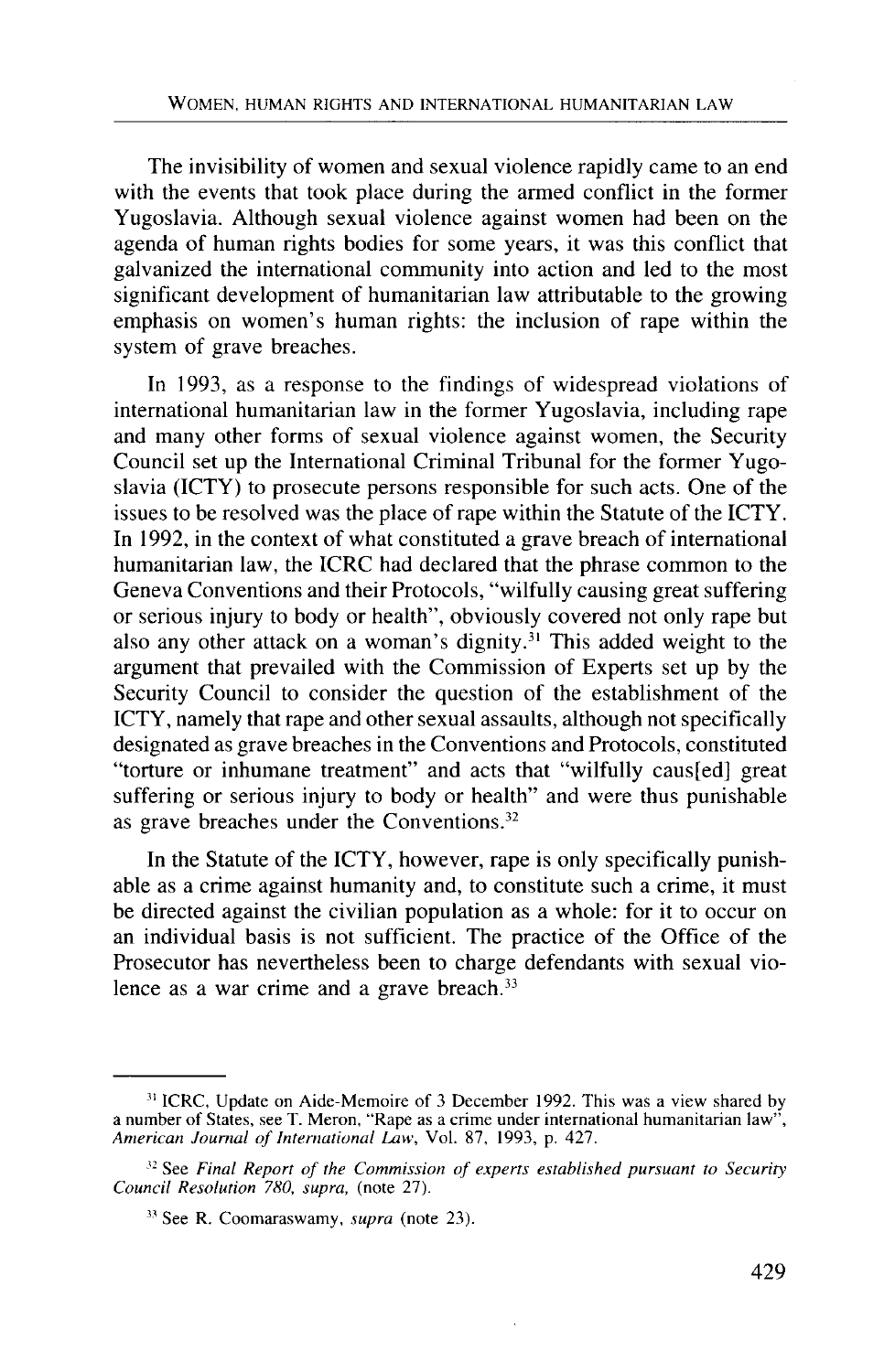The invisibility of women and sexual violence rapidly came to an end with the events that took place during the armed conflict in the former Yugoslavia. Although sexual violence against women had been on the agenda of human rights bodies for some years, it was this conflict that galvanized the international community into action and led to the most significant development of humanitarian law attributable to the growing emphasis on women's human rights: the inclusion of rape within the system of grave breaches.

In 1993, as a response to the findings of widespread violations of international humanitarian law in the former Yugoslavia, including rape and many other forms of sexual violence against women, the Security Council set up the International Criminal Tribunal for the former Yugoslavia (ICTY) to prosecute persons responsible for such acts. One of the issues to be resolved was the place of rape within the Statute of the ICTY. In 1992, in the context of what constituted a grave breach of international humanitarian law, the ICRC had declared that the phrase common to the Geneva Conventions and their Protocols, "wilfully causing great suffering or serious injury to body or health", obviously covered not only rape but also any other attack on a woman's dignity.<sup>31</sup> This added weight to the argument that prevailed with the Commission of Experts set up by the Security Council to consider the question of the establishment of the ICTY, namely that rape and other sexual assaults, although not specifically designated as grave breaches in the Conventions and Protocols, constituted "torture or inhumane treatment" and acts that "wilfully caus[ed] great suffering or serious injury to body or health" and were thus punishable as grave breaches under the Conventions.<sup>32</sup>

In the Statute of the ICTY, however, rape is only specifically punishable as a crime against humanity and, to constitute such a crime, it must be directed against the civilian population as a whole: for it to occur on an individual basis is not sufficient. The practice of the Office of the Prosecutor has nevertheless been to charge defendants with sexual violence as a war crime and a grave breach.<sup>33</sup>

<sup>31</sup> ICRC, Update on Aide-Memoire of 3 December 1992. This was a view shared by a number of States, see T. Meron, "Rape as a crime under international humanitarian law", *American Journal of International Law,* Vol. 87, 1993, p. 427.

<sup>&</sup>lt;sup>32</sup> See Final Report of the Commission of experts established pursuant to Security *ncil Resolution 780, supra,* (note 27). *Council* 

<sup>33</sup> See R. Coomaraswamy, *supra* (note 23).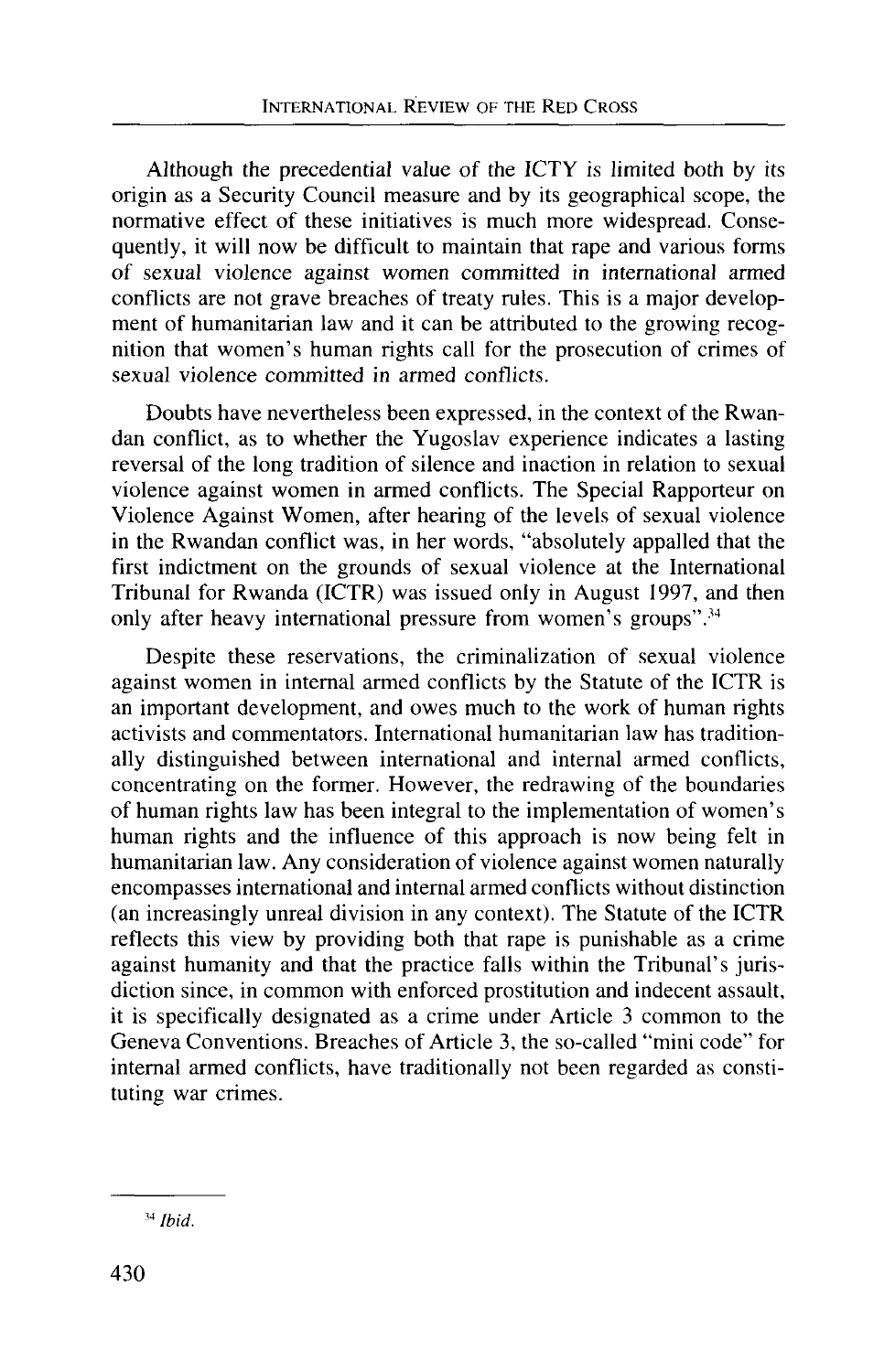Although the precedential value of the ICTY is limited both by its origin as a Security Council measure and by its geographical scope, the normative effect of these initiatives is much more widespread. Consequently, it will now be difficult to maintain that rape and various forms of sexual violence against women committed in international armed conflicts are not grave breaches of treaty rules. This is a major development of humanitarian law and it can be attributed to the growing recognition that women's human rights call for the prosecution of crimes of sexual violence committed in armed conflicts.

Doubts have nevertheless been expressed, in the context of the Rwandan conflict, as to whether the Yugoslav experience indicates a lasting reversal of the long tradition of silence and inaction in relation to sexual violence against women in armed conflicts. The Special Rapporteur on Violence Against Women, after hearing of the levels of sexual violence in the Rwandan conflict was, in her words, "absolutely appalled that the first indictment on the grounds of sexual violence at the International Tribunal for Rwanda (ICTR) was issued only in August 1997, and then only after heavy international pressure from women's groups".<sup>34</sup>

Despite these reservations, the criminalization of sexual violence against women in internal armed conflicts by the Statute of the ICTR is an important development, and owes much to the work of human rights activists and commentators. International humanitarian law has traditionally distinguished between international and internal armed conflicts, concentrating on the former. However, the redrawing of the boundaries of human rights law has been integral to the implementation of women's human rights and the influence of this approach is now being felt in humanitarian law. Any consideration of violence against women naturally encompasses international and internal armed conflicts without distinction (an increasingly unreal division in any context). The Statute of the ICTR reflects this view by providing both that rape is punishable as a crime against humanity and that the practice falls within the Tribunal's jurisdiction since, in common with enforced prostitution and indecent assault, it is specifically designated as a crime under Article 3 common to the Geneva Conventions. Breaches of Article 3, the so-called "mini code" for internal armed conflicts, have traditionally not been regarded as constituting war crimes.

34  *Ibid.*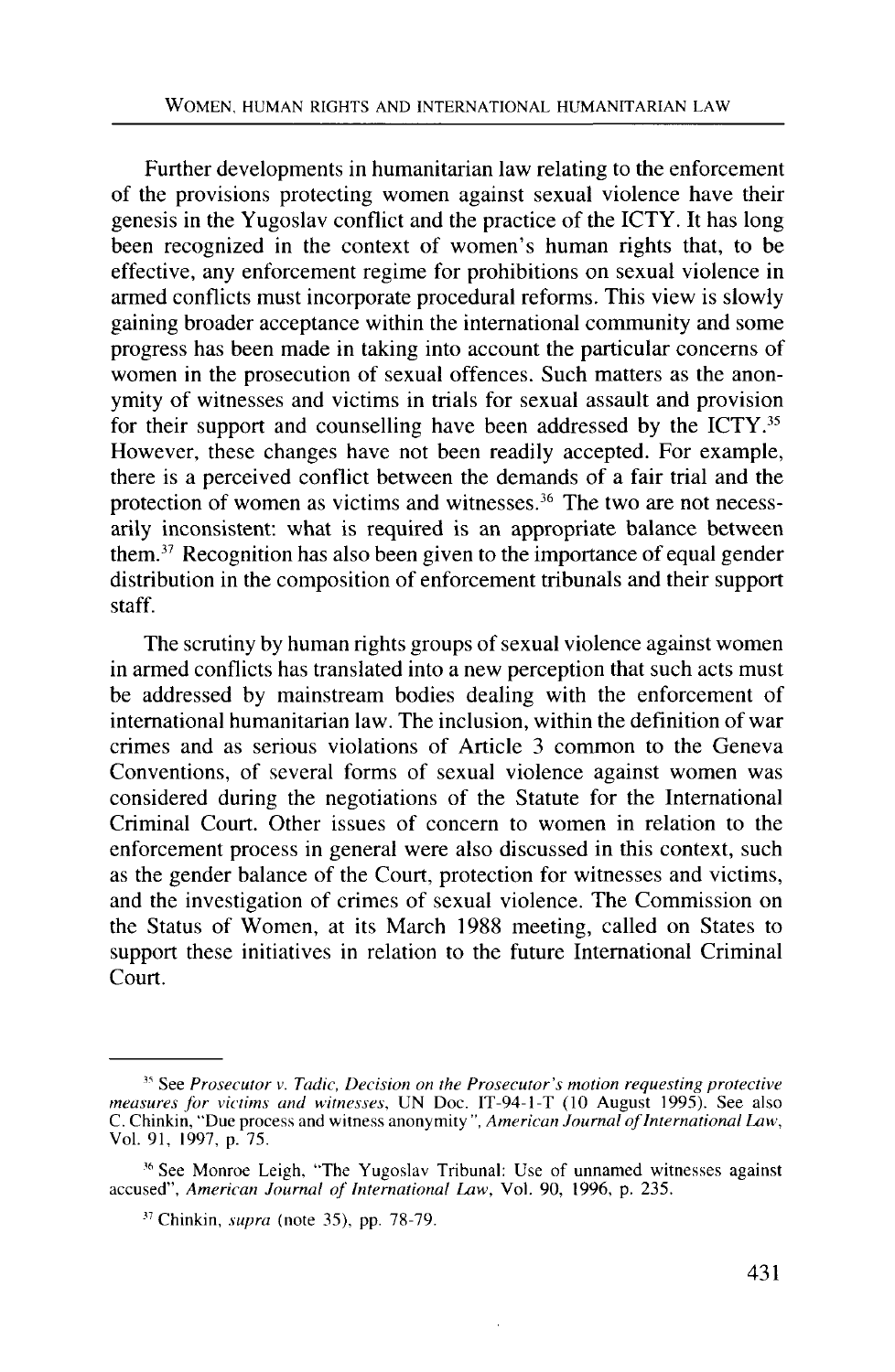Further developments in humanitarian law relating to the enforcement of the provisions protecting women against sexual violence have their genesis in the Yugoslav conflict and the practice of the ICTY. It has long been recognized in the context of women's human rights that, to be effective, any enforcement regime for prohibitions on sexual violence in armed conflicts must incorporate procedural reforms. This view is slowly gaining broader acceptance within the international community and some progress has been made in taking into account the particular concerns of women in the prosecution of sexual offences. Such matters as the anonymity of witnesses and victims in trials for sexual assault and provision for their support and counselling have been addressed by the ICTY.<sup>35</sup> However, these changes have not been readily accepted. For example, there is a perceived conflict between the demands of a fair trial and the protection of women as victims and witnesses.<sup>36</sup> The two are not necessarily inconsistent: what is required is an appropriate balance between them.<sup>37</sup> Recognition has also been given to the importance of equal gender distribution in the composition of enforcement tribunals and their support staff.

The scrutiny by human rights groups of sexual violence against women in armed conflicts has translated into a new perception that such acts must be addressed by mainstream bodies dealing with the enforcement of international humanitarian law. The inclusion, within the definition of war crimes and as serious violations of Article 3 common to the Geneva Conventions, of several forms of sexual violence against women was considered during the negotiations of the Statute for the International Criminal Court. Other issues of concern to women in relation to the enforcement process in general were also discussed in this context, such as the gender balance of the Court, protection for witnesses and victims, and the investigation of crimes of sexual violence. The Commission on the Status of Women, at its March 1988 meeting, called on States to support these initiatives in relation to the future International Criminal Court.

<sup>35</sup> See *Prosecutor v. Tadic, Decision on the Prosecutor's motion requesting protective measures for victims and witnesses,* UN Doc. IT-94-1-T (10 August 1995). See also C. Chinkin, "Due process and witness anonymity ", *American Journal of International Law,* Vol. 91, 1997, p. 75.

<sup>&</sup>lt;sup>36</sup> See Monroe Leigh, "The Yugoslav Tribunal: Use of unnamed witnesses against accused", *American Journal of International Law,* Vol. 90, 1996, p. 235.

<sup>&</sup>lt;sup>37</sup> Chinkin, *supra* (note 35), pp. 78-79.